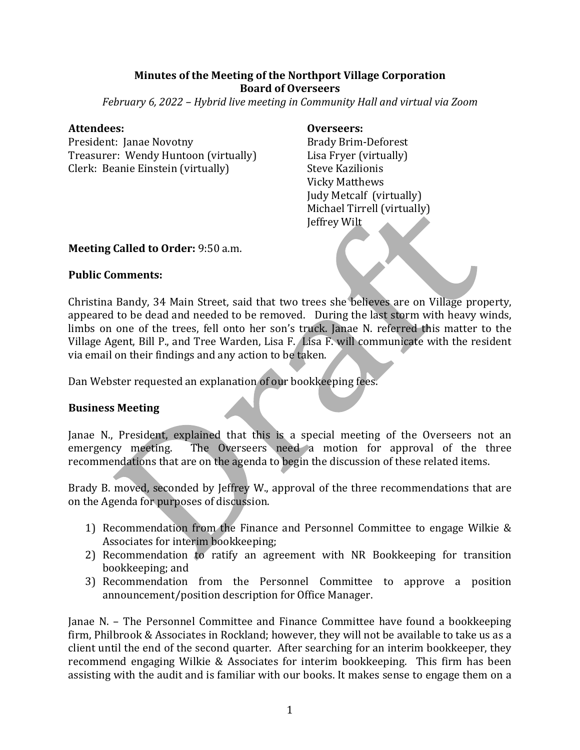## **Minutes of the Meeting of the Northport Village Corporation Board of Overseers**

*February* 6, 2022 – *Hybrid live meeting in Community Hall and virtual via Zoom* 

#### **Attendees: Overseers:**

President: Janae Novotny Brady Brim-Deforest Treasurer: Wendy Huntoon (virtually) Lisa Fryer (virtually) Clerk: Beanie Einstein (virtually) Steve Kazilionis

Vicky Matthews Judy Metcalf (virtually) Michael Tirrell (virtually) Jeffrey Wilt

## **Meeting Called to Order:** 9:50 a.m.

## **Public Comments:**

Christina Bandy, 34 Main Street, said that two trees she believes are on Village property, appeared to be dead and needed to be removed. During the last storm with heavy winds, limbs on one of the trees, fell onto her son's truck. Janae N. referred this matter to the Village Agent, Bill P., and Tree Warden, Lisa F. Lisa F. will communicate with the resident via email on their findings and any action to be taken.

Dan Webster requested an explanation of our bookkeeping fees.

# **Business Meeting**

Janae N., President, explained that this is a special meeting of the Overseers not an emergency meeting. The Overseers need a motion for approval of the three recommendations that are on the agenda to begin the discussion of these related items.

Brady B. moved, seconded by Jeffrey W., approval of the three recommendations that are on the Agenda for purposes of discussion.

- 1) Recommendation from the Finance and Personnel Committee to engage Wilkie  $&$ Associates for interim bookkeeping;
- 2) Recommendation to ratify an agreement with NR Bookkeeping for transition bookkeeping; and
- 3) Recommendation from the Personnel Committee to approve a position announcement/position description for Office Manager.

Janae N. – The Personnel Committee and Finance Committee have found a bookkeeping firm, Philbrook & Associates in Rockland; however, they will not be available to take us as a client until the end of the second quarter. After searching for an interim bookkeeper, they recommend engaging Wilkie & Associates for interim bookkeeping. This firm has been assisting with the audit and is familiar with our books. It makes sense to engage them on a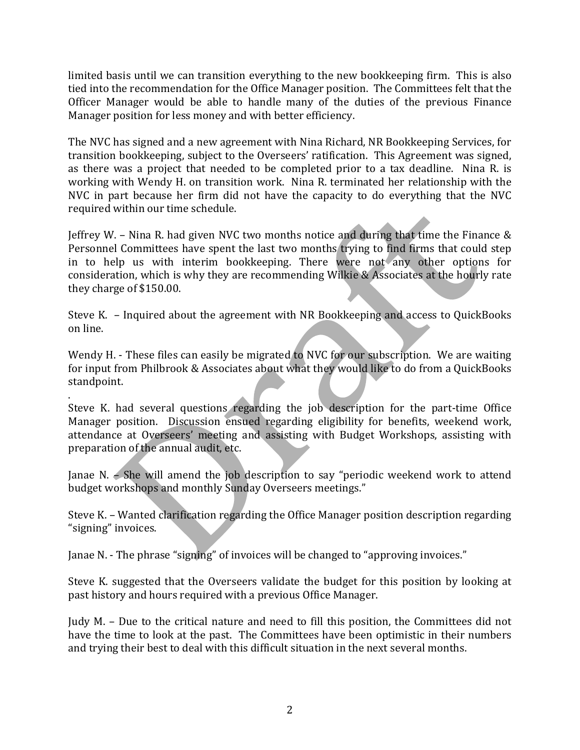limited basis until we can transition everything to the new bookkeeping firm. This is also tied into the recommendation for the Office Manager position. The Committees felt that the Officer Manager would be able to handle many of the duties of the previous Finance Manager position for less money and with better efficiency.

The NVC has signed and a new agreement with Nina Richard, NR Bookkeeping Services, for transition bookkeeping, subject to the Overseers' ratification. This Agreement was signed, as there was a project that needed to be completed prior to a tax deadline. Nina R. is working with Wendy H. on transition work. Nina R. terminated her relationship with the NVC in part because her firm did not have the capacity to do everything that the NVC required within our time schedule.

Jeffrey W. - Nina R. had given NVC two months notice and during that time the Finance & Personnel Committees have spent the last two months trying to find firms that could step in to help us with interim bookkeeping. There were not any other options for consideration, which is why they are recommending Wilkie & Associates at the hourly rate they charge of \$150.00.

Steve K.  $-$  Inquired about the agreement with NR Bookkeeping and access to QuickBooks on line. 

Wendy H. - These files can easily be migrated to NVC for our subscription. We are waiting for input from Philbrook & Associates about what they would like to do from a QuickBooks standpoint. 

. 

Steve K. had several questions regarding the job description for the part-time Office Manager position. Discussion ensued regarding eligibility for benefits, weekend work, attendance at Overseers' meeting and assisting with Budget Workshops, assisting with preparation of the annual audit, etc.

Janae N.  $\epsilon$  She will amend the job description to say "periodic weekend work to attend budget workshops and monthly Sunday Overseers meetings."

Steve K. – Wanted clarification regarding the Office Manager position description regarding "signing" invoices.

Janae N. - The phrase "signing" of invoices will be changed to "approving invoices."

Steve K. suggested that the Overseers validate the budget for this position by looking at past history and hours required with a previous Office Manager.

Judy M. – Due to the critical nature and need to fill this position, the Committees did not have the time to look at the past. The Committees have been optimistic in their numbers and trying their best to deal with this difficult situation in the next several months.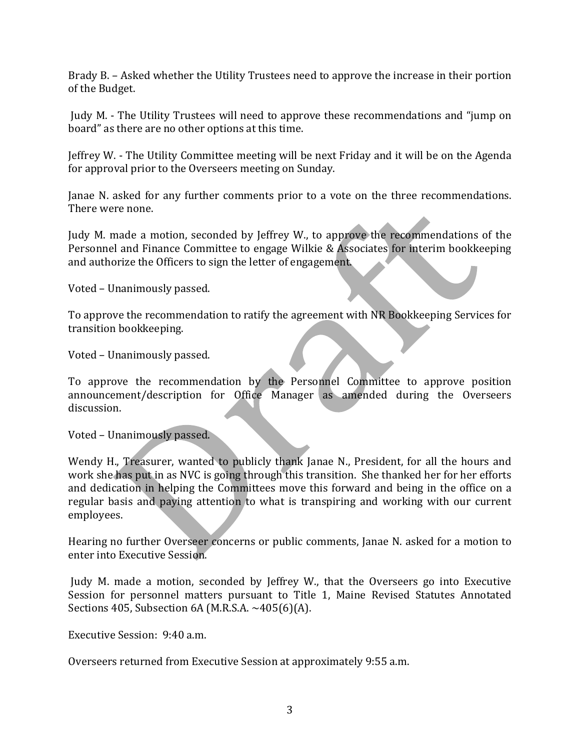Brady B. – Asked whether the Utility Trustees need to approve the increase in their portion of the Budget.

Judy M. - The Utility Trustees will need to approve these recommendations and "jump on board" as there are no other options at this time.

Jeffrey W. - The Utility Committee meeting will be next Friday and it will be on the Agenda for approval prior to the Overseers meeting on Sunday.

Janae N. asked for any further comments prior to a vote on the three recommendations. There were none.

Judy M. made a motion, seconded by Jeffrey W., to approve the recommendations of the Personnel and Finance Committee to engage Wilkie & Associates for interim bookkeeping and authorize the Officers to sign the letter of engagement.

Voted - Unanimously passed.

To approve the recommendation to ratify the agreement with NR Bookkeeping Services for transition bookkeeping.

Voted - Unanimously passed.

To approve the recommendation by the Personnel Committee to approve position announcement/description for Office Manager as amended during the Overseers discussion.

Voted – Unanimously passed.

Wendy H., Treasurer, wanted to publicly thank Janae N., President, for all the hours and work she has put in as NVC is going through this transition. She thanked her for her efforts and dedication in helping the Committees move this forward and being in the office on a regular basis and paying attention to what is transpiring and working with our current employees.

Hearing no further Overseer concerns or public comments, Janae N. asked for a motion to enter into Executive Session.

Judy M. made a motion, seconded by Jeffrey W., that the Overseers go into Executive Session for personnel matters pursuant to Title 1, Maine Revised Statutes Annotated Sections 405, Subsection 6A (M.R.S.A.  $\sim$  405(6)(A).

Executive Session: 9:40 a.m.

Overseers returned from Executive Session at approximately 9:55 a.m.